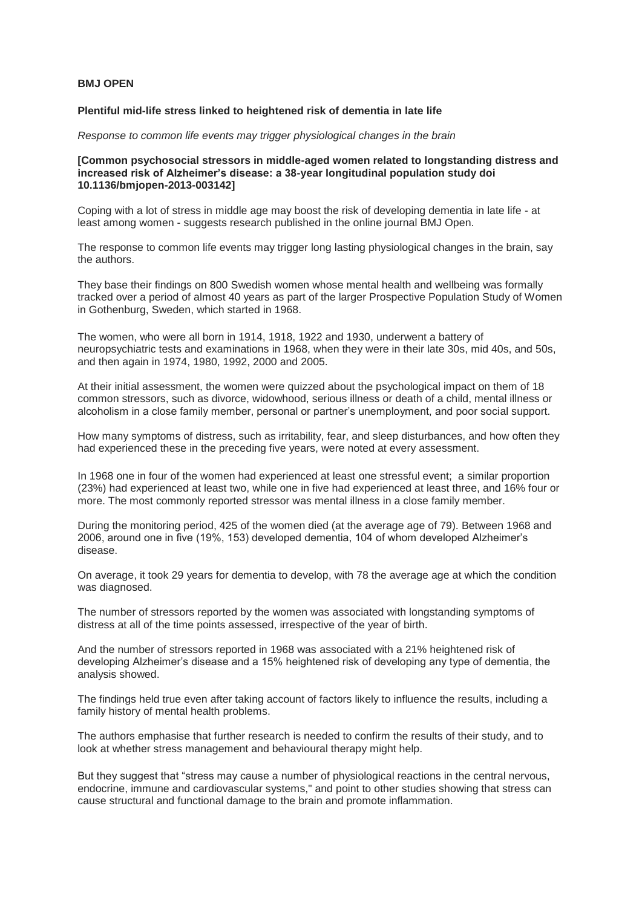## **BMJ OPEN**

## **Plentiful mid-life stress linked to heightened risk of dementia in late life**

*Response to common life events may trigger physiological changes in the brain*

## **[Common psychosocial stressors in middle-aged women related to longstanding distress and increased risk of Alzheimer's disease: a 38-year longitudinal population study doi 10.1136/bmjopen-2013-003142]**

Coping with a lot of stress in middle age may boost the risk of developing dementia in late life - at least among women - suggests research published in the online journal BMJ Open.

The response to common life events may trigger long lasting physiological changes in the brain, say the authors.

They base their findings on 800 Swedish women whose mental health and wellbeing was formally tracked over a period of almost 40 years as part of the larger Prospective Population Study of Women in Gothenburg, Sweden, which started in 1968.

The women, who were all born in 1914, 1918, 1922 and 1930, underwent a battery of neuropsychiatric tests and examinations in 1968, when they were in their late 30s, mid 40s, and 50s, and then again in 1974, 1980, 1992, 2000 and 2005.

At their initial assessment, the women were quizzed about the psychological impact on them of 18 common stressors, such as divorce, widowhood, serious illness or death of a child, mental illness or alcoholism in a close family member, personal or partner's unemployment, and poor social support.

How many symptoms of distress, such as irritability, fear, and sleep disturbances, and how often they had experienced these in the preceding five years, were noted at every assessment.

In 1968 one in four of the women had experienced at least one stressful event; a similar proportion (23%) had experienced at least two, while one in five had experienced at least three, and 16% four or more. The most commonly reported stressor was mental illness in a close family member.

During the monitoring period, 425 of the women died (at the average age of 79). Between 1968 and 2006, around one in five (19%, 153) developed dementia, 104 of whom developed Alzheimer's disease.

On average, it took 29 years for dementia to develop, with 78 the average age at which the condition was diagnosed.

The number of stressors reported by the women was associated with longstanding symptoms of distress at all of the time points assessed, irrespective of the year of birth.

And the number of stressors reported in 1968 was associated with a 21% heightened risk of developing Alzheimer's disease and a 15% heightened risk of developing any type of dementia, the analysis showed.

The findings held true even after taking account of factors likely to influence the results, including a family history of mental health problems.

The authors emphasise that further research is needed to confirm the results of their study, and to look at whether stress management and behavioural therapy might help.

But they suggest that "stress may cause a number of physiological reactions in the central nervous, endocrine, immune and cardiovascular systems," and point to other studies showing that stress can cause structural and functional damage to the brain and promote inflammation.